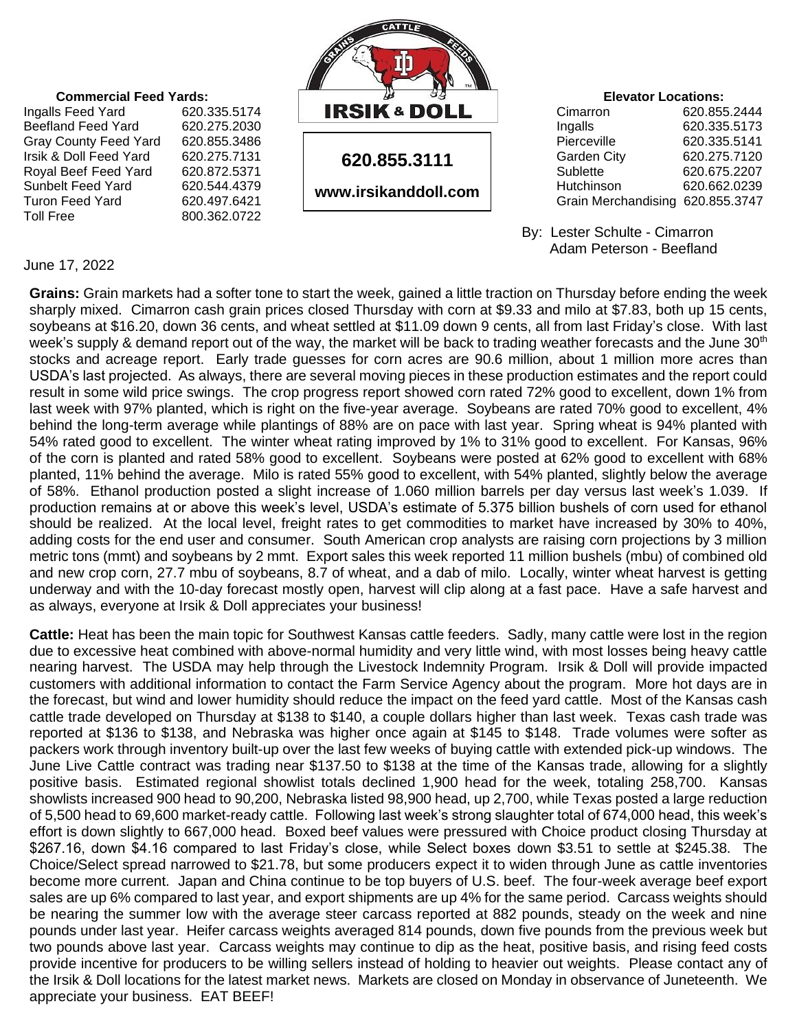

 By: Lester Schulte - Cimarron Adam Peterson - Beefland

June 17, 2022

Toll Free 800.362.0722

**Grains:** Grain markets had a softer tone to start the week, gained a little traction on Thursday before ending the week sharply mixed. Cimarron cash grain prices closed Thursday with corn at \$9.33 and milo at \$7.83, both up 15 cents, soybeans at \$16.20, down 36 cents, and wheat settled at \$11.09 down 9 cents, all from last Friday's close. With last week's supply & demand report out of the way, the market will be back to trading weather forecasts and the June 30<sup>th</sup> stocks and acreage report. Early trade guesses for corn acres are 90.6 million, about 1 million more acres than USDA's last projected. As always, there are several moving pieces in these production estimates and the report could result in some wild price swings. The crop progress report showed corn rated 72% good to excellent, down 1% from last week with 97% planted, which is right on the five-year average. Soybeans are rated 70% good to excellent, 4% behind the long-term average while plantings of 88% are on pace with last year. Spring wheat is 94% planted with 54% rated good to excellent. The winter wheat rating improved by 1% to 31% good to excellent. For Kansas, 96% of the corn is planted and rated 58% good to excellent. Soybeans were posted at 62% good to excellent with 68% planted, 11% behind the average. Milo is rated 55% good to excellent, with 54% planted, slightly below the average of 58%. Ethanol production posted a slight increase of 1.060 million barrels per day versus last week's 1.039. If production remains at or above this week's level, USDA's estimate of 5.375 billion bushels of corn used for ethanol should be realized. At the local level, freight rates to get commodities to market have increased by 30% to 40%, adding costs for the end user and consumer. South American crop analysts are raising corn projections by 3 million metric tons (mmt) and soybeans by 2 mmt. Export sales this week reported 11 million bushels (mbu) of combined old and new crop corn, 27.7 mbu of soybeans, 8.7 of wheat, and a dab of milo. Locally, winter wheat harvest is getting underway and with the 10-day forecast mostly open, harvest will clip along at a fast pace. Have a safe harvest and as always, everyone at Irsik & Doll appreciates your business!

**Cattle:** Heat has been the main topic for Southwest Kansas cattle feeders. Sadly, many cattle were lost in the region due to excessive heat combined with above-normal humidity and very little wind, with most losses being heavy cattle nearing harvest. The USDA may help through the Livestock Indemnity Program. Irsik & Doll will provide impacted customers with additional information to contact the Farm Service Agency about the program. More hot days are in the forecast, but wind and lower humidity should reduce the impact on the feed yard cattle. Most of the Kansas cash cattle trade developed on Thursday at \$138 to \$140, a couple dollars higher than last week. Texas cash trade was reported at \$136 to \$138, and Nebraska was higher once again at \$145 to \$148. Trade volumes were softer as packers work through inventory built-up over the last few weeks of buying cattle with extended pick-up windows. The June Live Cattle contract was trading near \$137.50 to \$138 at the time of the Kansas trade, allowing for a slightly positive basis. Estimated regional showlist totals declined 1,900 head for the week, totaling 258,700. Kansas showlists increased 900 head to 90,200, Nebraska listed 98,900 head, up 2,700, while Texas posted a large reduction of 5,500 head to 69,600 market-ready cattle. Following last week's strong slaughter total of 674,000 head, this week's effort is down slightly to 667,000 head. Boxed beef values were pressured with Choice product closing Thursday at \$267.16, down \$4.16 compared to last Friday's close, while Select boxes down \$3.51 to settle at \$245.38. The Choice/Select spread narrowed to \$21.78, but some producers expect it to widen through June as cattle inventories become more current. Japan and China continue to be top buyers of U.S. beef. The four-week average beef export sales are up 6% compared to last year, and export shipments are up 4% for the same period. Carcass weights should be nearing the summer low with the average steer carcass reported at 882 pounds, steady on the week and nine pounds under last year. Heifer carcass weights averaged 814 pounds, down five pounds from the previous week but two pounds above last year. Carcass weights may continue to dip as the heat, positive basis, and rising feed costs provide incentive for producers to be willing sellers instead of holding to heavier out weights. Please contact any of the Irsik & Doll locations for the latest market news. Markets are closed on Monday in observance of Juneteenth. We appreciate your business. EAT BEEF!